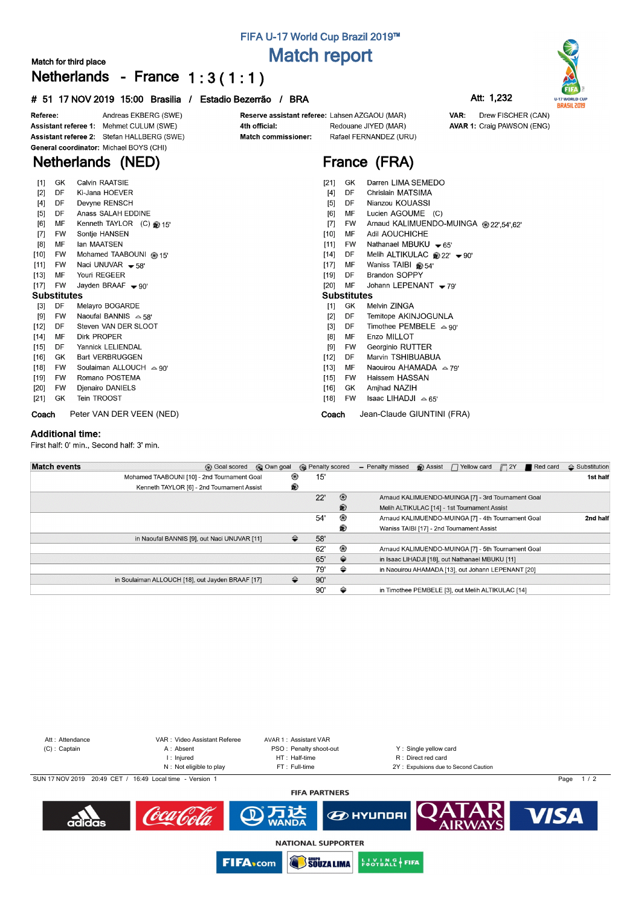## **FIFA U-17 World Cup Brazil 2019™ Match report**

Reserve assistant referee: Lahsen AZGAOU (MAR)

**France (FRA)**

Redouane JIYED (MAR)

Rafael FERNANDEZ (URU)

### **Match for third place Netherlands - France 1 : 3 ( 1 : 1 )**

#### **# 51 17 NOV 2019 15:00 Brasilia / Estadio Bezerrão / BRA Att: 1,232**



Drew FISCHER (CAN)

**AVAR 1: Craig PAWSON (ENG)** 

VAR:



Andreas EKBERG (SWE) Referee: Assistant referee 1: Mehmet CULUM (SWE) Assistant referee 2: Stefan HALLBERG (SWE) General coordinator: Michael BOYS (CHI)

## **Netherlands (NED)**

| $[1]$  | GK                 | Calvin RAATSIE                  | [21]               | GK  | Darren LIMA SEMEDO                                      |
|--------|--------------------|---------------------------------|--------------------|-----|---------------------------------------------------------|
| $[2]$  | DF                 | Ki-Jana HOEVER                  | $[4]$              | DF  | Chrislain MATSIMA                                       |
| $[4]$  | DF                 | Devyne RENSCH                   | $[5]$              | DF  | Nianzou KOUASSI                                         |
| [5]    | DF                 | Anass SALAH EDDINE              | [6]                | MF  | Lucien AGOUME (C)                                       |
| [6]    | МF                 | Kenneth TAYLOR (C) 2015'        | $[7]$              | FW  | Arnaud KALIMUENDO-MUINGA @ 22',54',62'                  |
| $[7]$  | <b>FW</b>          | Sontje HANSEN                   | $[10]$             | MF  | Adil AOUCHICHE                                          |
| [8]    | MF                 | lan MAATSEN                     | [11]               | FW  | Nathanael MBUKU $\bullet$ 65'                           |
| [10]   | FW                 | Mohamed TAABOUNI @ 15'          | [14]               | DF  | Melih ALTIKULAC $\otimes$ 22' $\blacktriangleright$ 90' |
| $[11]$ | FW                 | Naci UNUVAR $-58$               | $[17]$             | MF  | Waniss TAIBI $\circledast$ 54'                          |
| $[13]$ | МF                 | Youri REGEER                    | [19]               | DF. | <b>Brandon SOPPY</b>                                    |
| $[17]$ | FW                 | Jayden BRAAF $\rightarrow$ 90'  | $[20]$             | MF  | Johann LEPENANT $\rightarrow$ 79'                       |
|        | <b>Substitutes</b> |                                 | <b>Substitutes</b> |     |                                                         |
| $[3]$  | DF                 | Melayro BOGARDE                 | [1]                | GK  | Melvin ZINGA                                            |
| [9]    | <b>FW</b>          | Naoufal BANNIS $\sim$ 58'       | $[2]$              | DF  | Temitope AKINJOGUNLA                                    |
| [12]   | DF                 | Steven VAN DER SLOOT            | $[3]$              | DF  | Timothee PEMBELE $\approx$ 90'                          |
| [14]   | МF                 | Dirk PROPER                     | [8]                | МF  | Enzo MILLOT                                             |
| $[15]$ | DF                 | Yannick LELIENDAL               | [9]                | FW  | Georginio RUTTER                                        |
| $[16]$ | GK                 | <b>Bart VERBRUGGEN</b>          | $[12]$             | DF  | Marvin TSHIBUABUA                                       |
| $[18]$ | <b>FW</b>          | Soulaiman ALLOUCH $\approx$ 90' | $[13]$             | MF  | Naouirou AHAMADA $\approx$ 79'                          |
| $[19]$ | <b>FW</b>          | Romano POSTEMA                  | $[15]$             | FW  | Haissem HASSAN                                          |
| [20]   | FW                 | Djenairo DANIELS                | [16]               | GK. | Amjhad NAZIH                                            |
| [21]   | GK                 | Tein TROOST                     | $[18]$             | FW  | Isaac LIHADJI $\sim$ 65'                                |
| Coach  |                    | Peter VAN DER VEEN (NED)        | Coach              |     | Jean-Claude GIUNTINI (FRA)                              |

4th official:

Match commissioner:

#### **Additional time:**

First half: 0' min., Second half: 3' min.

| <b>Match events</b> | <b>63</b> Goal scored                            | © Own goal | <b>R</b> Penalty scored |                | - Penalty missed | $\bigcirc$ Assist $\bigcap$ Yellow card $\bigcap$ 2Y | Red card | $\triangle$ Substitution |
|---------------------|--------------------------------------------------|------------|-------------------------|----------------|------------------|------------------------------------------------------|----------|--------------------------|
|                     | Mohamed TAABOUNI [10] - 2nd Tournament Goal      | ⊛          | 15'                     |                |                  |                                                      |          | 1st half                 |
|                     | Kenneth TAYLOR [6] - 2nd Tournament Assist       | ⊛          |                         |                |                  |                                                      |          |                          |
|                     |                                                  |            | 22'                     | $\circledcirc$ |                  | Arnaud KALIMUENDO-MUINGA [7] - 3rd Tournament Goal   |          |                          |
|                     |                                                  |            |                         | ®              |                  | Melih ALTIKULAC [14] - 1st Tournament Assist         |          |                          |
|                     |                                                  |            | 54'                     | ⊛              |                  | Arnaud KALIMUENDO-MUINGA [7] - 4th Tournament Goal   |          | 2nd half                 |
|                     |                                                  |            |                         | ®              |                  | Waniss TAIBI [17] - 2nd Tournament Assist            |          |                          |
|                     | in Naoufal BANNIS [9], out Naci UNUVAR [11]      | ≙          | 58'                     |                |                  |                                                      |          |                          |
|                     |                                                  |            | 62'                     | ⊛              |                  | Arnaud KALIMUENDO-MUINGA [7] - 5th Tournament Goal   |          |                          |
|                     |                                                  |            | 65'                     | ⇔              |                  | in Isaac LIHADJI [18], out Nathanael MBUKU [11]      |          |                          |
|                     |                                                  |            | 79'                     | ⇔              |                  | in Naouirou AHAMADA [13], out Johann LEPENANT [20]   |          |                          |
|                     | in Soulaiman ALLOUCH [18], out Jayden BRAAF [17] | ⇔          | 90'                     |                |                  |                                                      |          |                          |
|                     |                                                  |            | 90'                     | ⇔              |                  | in Timothee PEMBELE [3], out Melih ALTIKULAC [14]    |          |                          |



**SOUZA LIMA** 

**FIFA**<sub>com</sub>

**ENOTBALL FIFA**